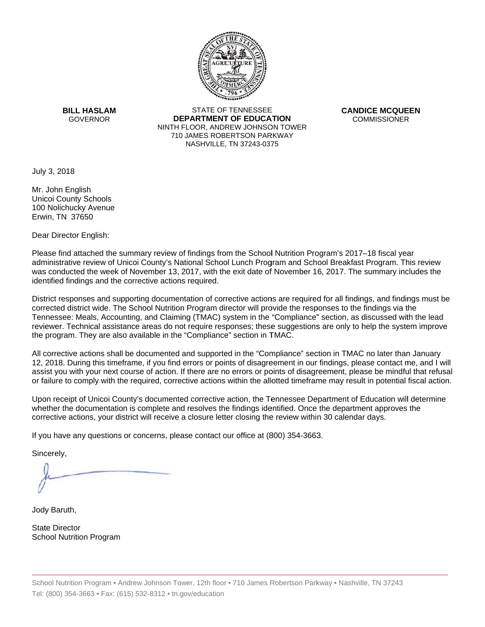

**BILL HASLAM** GOVERNOR **DEI** 

STATE OF TENNESSEE **EPARTMENT OF EDUCATION** NINTH FLOOR, ANDREW JOHNSON TOWER 710 JAMES ROBERTSON PARKWAY NASHVILLE,TN 37243-0375

**CANDICE MCQUEEN** CO OMMISSIONER

July 3, 2018

Mr. John English Unicoi County Schools 100 Nolichucky Avenue Erwin, TN 37650

Dear Director English:

Please find attached the summary review of findings from the School Nutrition Program's 2017–18 fiscal year administrative review of Unicoi County's National School Lunch Program and School Breakfast Program. This review was conducted the week of November 13, 2017, with the exit date of November 16, 2017. The summary includes the identified findings and the corrective actions required.

Tennessee: Meals, Accounting, and Claiming (TMAC) system in the "Compliance" section, as discussed with the lead District responses and supporting documentation of corrective actions are required for all findings, and findings must be corrected district wide. The School Nutrition Program director will provide the responses to the findings via the reviewer. Technical assistance areas do not require responses; these suggestions are only to help the system improve the program. They are also available in the "Compliance" section in TMAC.

All corrective actions shall be documented and supported in the "Compliance" section in TMAC no later than January 12, 2018. During this timeframe, if you find errors or points of disagreement in our findings, please contact me, and I will assist you with your next course of action. If there are no errors or points of disagreement, please be mindful that refusal or failure to comply with the required, corrective actions within the allotted timeframe may result in potential fiscal action.

Upon receipt of Unicoi County's documented corrective action, the Tennessee Department of Education will determine whether the documentation is complete and resolves the findings identified. Once the department approves the corrective actions, your district will receive a closure letter closing the review within 30 calendar days.

If you have any questions or concerns, please contact our office at (800) 354-3663.

Sincerely,

Jody Baruth,

State Director School Nutrition Program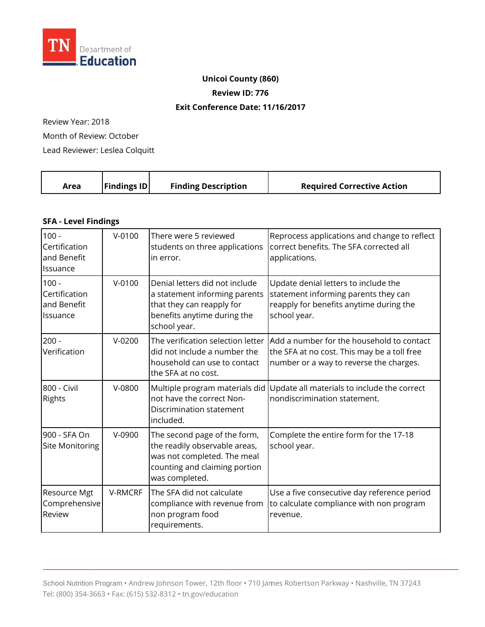

## **Unicoi County (860)**

**Review ID: 776** 

#### **Exit Conference Date: 11 /16/2017**

Review Year: 2018

Month of Review: October

Lead Reviewer: Leslea Colquitt

|  | <b>Findings ID</b><br>Area | <b>Finding Description</b> | <b>Required Corrective Action</b> |
|--|----------------------------|----------------------------|-----------------------------------|
|--|----------------------------|----------------------------|-----------------------------------|

### **SFA - Level Findings**

| $100 -$<br>Certification<br>and Benefit<br>Issuance | $V-0100$   | There were 5 reviewed<br>students on three applications<br>in error.                                                                            | Reprocess applications and change to reflect<br>correct benefits. The SFA corrected all<br>applications.                                |
|-----------------------------------------------------|------------|-------------------------------------------------------------------------------------------------------------------------------------------------|-----------------------------------------------------------------------------------------------------------------------------------------|
| $100 -$<br>Certification<br>and Benefit<br>Issuance | $V - 0100$ | Denial letters did not include<br>a statement informing parents<br>that they can reapply for<br>benefits anytime during the<br>school year.     | Update denial letters to include the<br>statement informing parents they can<br>reapply for benefits anytime during the<br>school year. |
| $200 -$<br>Verification                             | $V-0200$   | The verification selection letter<br>did not include a number the<br>household can use to contact<br>the SFA at no cost.                        | Add a number for the household to contact<br>the SFA at no cost. This may be a toll free<br>number or a way to reverse the charges.     |
| 800 - Civil<br>Rights                               | V-0800     | Multiple program materials did<br>not have the correct Non-<br>Discrimination statement<br>included.                                            | Update all materials to include the correct<br>nondiscrimination statement.                                                             |
| 900 - SFA On<br><b>Site Monitoring</b>              | $V-0900$   | The second page of the form,<br>the readily observable areas,<br>was not completed. The meal<br>counting and claiming portion<br>was completed. | Complete the entire form for the 17-18<br>school year.                                                                                  |
| Resource Mgt<br>Comprehensive<br>Review             | V-RMCRF    | The SFA did not calculate<br>compliance with revenue from<br>non program food<br>requirements.                                                  | Use a five consecutive day reference period<br>to calculate compliance with non program<br>revenue.                                     |